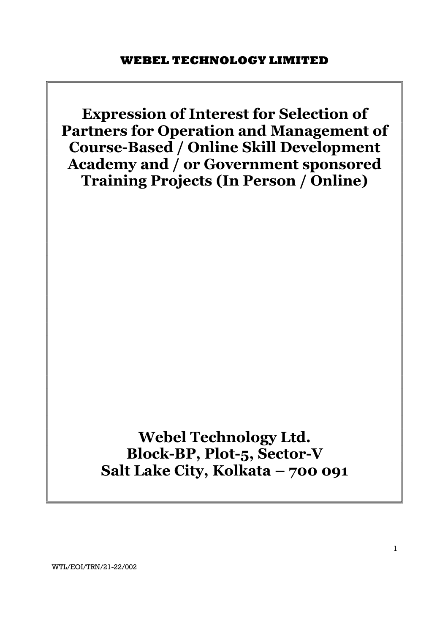Expression of Interest for Selection of Partners for Operation and Management of Course-Based / Online Skill Development Academy and / or Government sponsored Training Projects (In Person / Online)

> Webel Technology Ltd. Block-BP, Plot-5, Sector-V Salt Lake City, Kolkata – 700 091

WTL/EOI/TRN/21-22/002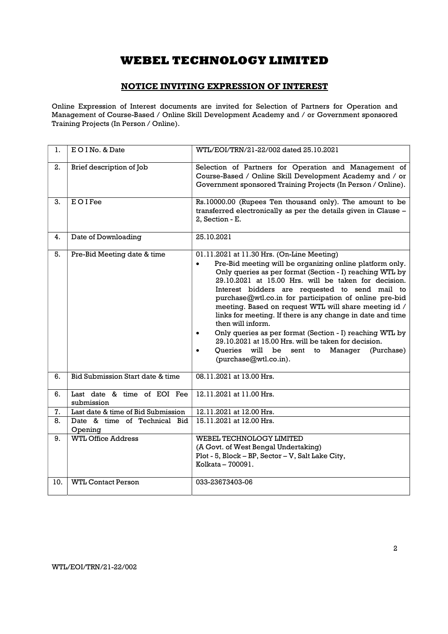# NOTICE INVITING EXPRESSION OF INTEREST

Online Expression of Interest documents are invited for Selection of Partners for Operation and Management of Course-Based / Online Skill Development Academy and / or Government sponsored Training Projects (In Person / Online).

| 1.  | EO I No. & Date                           | WTL/EOI/TRN/21-22/002 dated 25.10.2021                                                                                                                                                                                                                                                                                                                                                                                                                                                                                                                                                                                                                                                                                    |  |  |
|-----|-------------------------------------------|---------------------------------------------------------------------------------------------------------------------------------------------------------------------------------------------------------------------------------------------------------------------------------------------------------------------------------------------------------------------------------------------------------------------------------------------------------------------------------------------------------------------------------------------------------------------------------------------------------------------------------------------------------------------------------------------------------------------------|--|--|
| 2.  | Brief description of Job                  | Selection of Partners for Operation and Management of<br>Course-Based / Online Skill Development Academy and / or<br>Government sponsored Training Projects (In Person / Online).                                                                                                                                                                                                                                                                                                                                                                                                                                                                                                                                         |  |  |
| 3.  | <b>EOIFee</b>                             | Rs.10000.00 (Rupees Ten thousand only). The amount to be<br>transferred electronically as per the details given in Clause -<br>2. Section - E.                                                                                                                                                                                                                                                                                                                                                                                                                                                                                                                                                                            |  |  |
| 4.  | Date of Downloading                       | 25.10.2021                                                                                                                                                                                                                                                                                                                                                                                                                                                                                                                                                                                                                                                                                                                |  |  |
| 5.  | Pre-Bid Meeting date & time               | 01.11.2021 at 11.30 Hrs. (On-Line Meeting)<br>Pre-Bid meeting will be organizing online platform only.<br>$\bullet$<br>Only queries as per format (Section - I) reaching WTL by<br>29.10.2021 at 15.00 Hrs. will be taken for decision.<br>Interest bidders are requested to send mail to<br>purchase@wtl.co.in for participation of online pre-bid<br>meeting. Based on request WTL will share meeting id /<br>links for meeting. If there is any change in date and time<br>then will inform.<br>Only queries as per format (Section - I) reaching WTL by<br>$\bullet$<br>29.10.2021 at 15.00 Hrs. will be taken for decision.<br>Oueries<br>will<br>be<br>sent<br>Manager<br>(Purchase)<br>to<br>(purchase@wtl.co.in). |  |  |
| 6.  | Bid Submission Start date & time          | 08.11.2021 at 13.00 Hrs.                                                                                                                                                                                                                                                                                                                                                                                                                                                                                                                                                                                                                                                                                                  |  |  |
| 6.  | Last date & time of EOI Fee<br>submission | 12.11.2021 at 11.00 Hrs.                                                                                                                                                                                                                                                                                                                                                                                                                                                                                                                                                                                                                                                                                                  |  |  |
| 7.  | Last date & time of Bid Submission        | 12.11.2021 at 12.00 Hrs.                                                                                                                                                                                                                                                                                                                                                                                                                                                                                                                                                                                                                                                                                                  |  |  |
| 8.  | Date & time of Technical Bid<br>Opening   | 15.11.2021 at 12.00 Hrs.                                                                                                                                                                                                                                                                                                                                                                                                                                                                                                                                                                                                                                                                                                  |  |  |
| 9.  | <b>WTL Office Address</b>                 | WEBEL TECHNOLOGY LIMITED<br>(A Govt. of West Bengal Undertaking)<br>Plot - 5, Block - BP, Sector - V, Salt Lake City,<br>Kolkata - 700091.                                                                                                                                                                                                                                                                                                                                                                                                                                                                                                                                                                                |  |  |
| 10. | <b>WTL Contact Person</b>                 | 033-23673403-06                                                                                                                                                                                                                                                                                                                                                                                                                                                                                                                                                                                                                                                                                                           |  |  |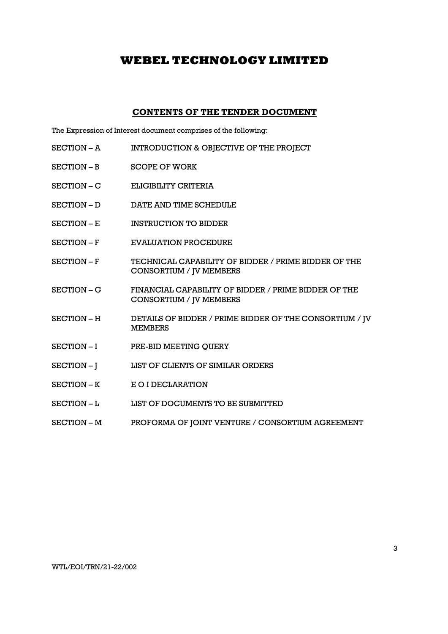## CONTENTS OF THE TENDER DOCUMENT

The Expression of Interest document comprises of the following:

- SECTION A INTRODUCTION & OBJECTIVE OF THE PROJECT
- SECTION B SCOPE OF WORK
- SECTION C ELIGIBILITY CRITERIA
- SECTION D DATE AND TIME SCHEDULE
- SECTION E INSTRUCTION TO BIDDER
- SECTION F EVALUATION PROCEDURE
- SECTION F TECHNICAL CAPABILITY OF BIDDER / PRIME BIDDER OF THE CONSORTIUM / JV MEMBERS
- SECTION G FINANCIAL CAPABILITY OF BIDDER / PRIME BIDDER OF THE CONSORTIUM / JV MEMBERS
- SECTION H DETAILS OF BIDDER / PRIME BIDDER OF THE CONSORTIUM / JV MEMBERS
- SECTION I PRE-BID MEETING QUERY
- SECTION J LIST OF CLIENTS OF SIMILAR ORDERS
- SECTION K E O I DECLARATION
- SECTION L<br>LIST OF DOCUMENTS TO BE SUBMITTED
- SECTION M PROFORMA OF JOINT VENTURE / CONSORTIUM AGREEMENT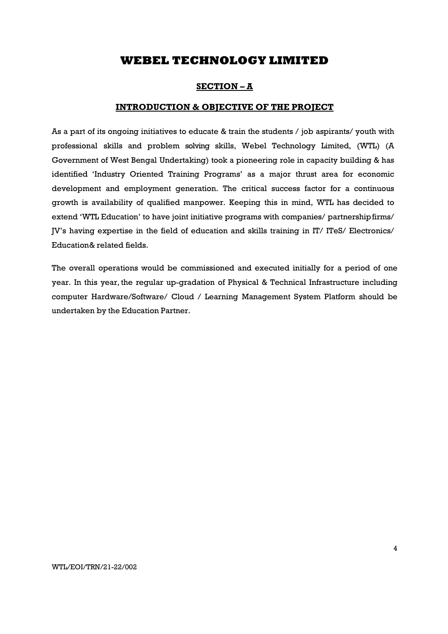## SECTION – A

## INTRODUCTION & OBJECTIVE OF THE PROJECT

As a part of its ongoing initiatives to educate & train the students / job aspirants/ youth with professional skills and problem solving skills, Webel Technology Limited, (WTL) (A Government of West Bengal Undertaking) took a pioneering role in capacity building & has identified 'Industry Oriented Training Programs' as a major thrust area for economic development and employment generation. The critical success factor for a continuous growth is availability of qualified manpower. Keeping this in mind, WTL has decided to extend 'WTL Education' to have joint initiative programs with companies/ partnership firms/ JV's having expertise in the field of education and skills training in IT/ ITeS/ Electronics/ Education & related fields.

The overall operations would be commissioned and executed initially for a period of one year. In this year, the regular up-gradation of Physical & Technical Infrastructure including computer Hardware/Software/ Cloud / Learning Management System Platform should be undertaken by the Education Partner.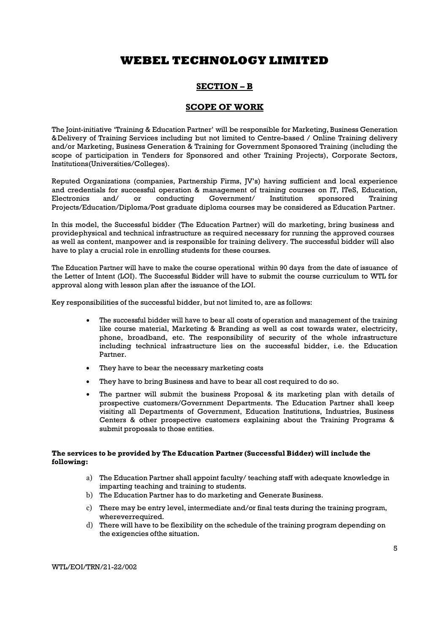# SECTION – B

## SCOPE OF WORK

The Joint-initiative 'Training & Education Partner' will be responsible for Marketing, Business Generation & Delivery of Training Services including but not limited to Centre-based / Online Training delivery and/or Marketing, Business Generation & Training for Government Sponsored Training (including the scope of participation in Tenders for Sponsored and other Training Projects), Corporate Sectors, Institutions (Universities/Colleges).

Reputed Organizations (companies, Partnership Firms, JV's) having sufficient and local experience and credentials for successful operation & management of training courses on IT, ITeS, Education, Electronics and/ or conducting Government/ Institution sponsored Training Projects/Education/Diploma/Post graduate diploma courses may be considered as Education Partner.

In this model, the Successful bidder (The Education Partner) will do marketing, bring business and provide physical and technical infrastructure as required necessary for running the approved courses as well as content, manpower and is responsible for training delivery. The successful bidder will also have to play a crucial role in enrolling students for these courses.

The Education Partner will have to make the course operational within 90 days from the date of issuance of the Letter of Intent (LOI). The Successful Bidder will have to submit the course curriculum to WTL for approval along with lesson plan after the issuance of the LOI.

Key responsibilities of the successful bidder, but not limited to, are as follows:

- The successful bidder will have to bear all costs of operation and management of the training like course material, Marketing & Branding as well as cost towards water, electricity, phone, broadband, etc. The responsibility of security of the whole infrastructure including technical infrastructure lies on the successful bidder, i.e. the Education Partner.
- They have to bear the necessary marketing costs
- They have to bring Business and have to bear all cost required to do so.
- The partner will submit the business Proposal & its marketing plan with details of prospective customers/Government Departments. The Education Partner shall keep visiting all Departments of Government, Education Institutions, Industries, Business Centers & other prospective customers explaining about the Training Programs & submit proposals to those entities.

## The services to be provided by The Education Partner (Successful Bidder) will include the following:

- a) The Education Partner shall appoint faculty/ teaching staff with adequate knowledge in imparting teaching and training to students.
- b) The Education Partner has to do marketing and Generate Business.
- c) There may be entry level, intermediate and/or final tests during the training program, wherever required.
- d) There will have to be flexibility on the schedule of the training program depending on the exigencies of the situation.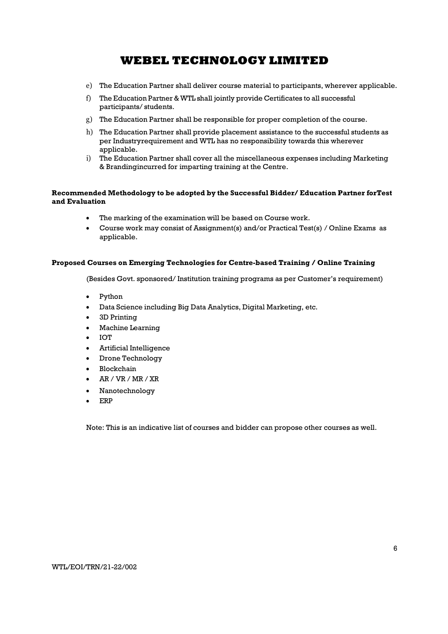- e) The Education Partner shall deliver course material to participants, wherever applicable.
- f) The Education Partner & WTL shall jointly provide Certificates to all successful participants/ students.
- g) The Education Partner shall be responsible for proper completion of the course.
- h) The Education Partner shall provide placement assistance to the successful students as per Industry requirement and WTL has no responsibility towards this wherever applicable.
- i) The Education Partner shall cover all the miscellaneous expenses including Marketing & Branding incurred for imparting training at the Centre.

## Recommended Methodology to be adopted by the Successful Bidder/ Education Partner for Test and Evaluation

- The marking of the examination will be based on Course work.
- Course work may consist of Assignment(s) and/or Practical Test(s) / Online Exams as applicable.

### Proposed Courses on Emerging Technologies for Centre-based Training / Online Training

(Besides Govt. sponsored/ Institution training programs as per Customer's requirement)

- Python
- Data Science including Big Data Analytics, Digital Marketing, etc.
- 3D Printing
- Machine Learning
- IOT
- Artificial Intelligence
- Drone Technology
- Blockchain
- AR / VR / MR / XR
- Nanotechnology
- ERP

Note: This is an indicative list of courses and bidder can propose other courses as well.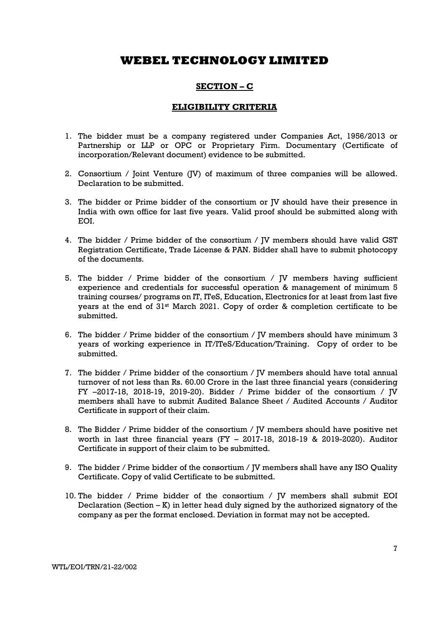# SECTION – C

## ELIGIBILITY CRITERIA

- 1. The bidder must be a company registered under Companies Act, 1956/2013 or Partnership or LLP or OPC or Proprietary Firm. Documentary (Certificate of incorporation/Relevant document) evidence to be submitted.
- 2. Consortium / Joint Venture (JV) of maximum of three companies will be allowed. Declaration to be submitted.
- 3. The bidder or Prime bidder of the consortium or JV should have their presence in India with own office for last five years. Valid proof should be submitted along with EOI.
- 4. The bidder / Prime bidder of the consortium / JV members should have valid GST Registration Certificate, Trade License & PAN. Bidder shall have to submit photocopy of the documents.
- 5. The bidder / Prime bidder of the consortium / JV members having sufficient experience and credentials for successful operation & management of minimum 5 training courses/ programs on IT, ITeS, Education, Electronics for at least from last five years at the end of 31<sup>st</sup> March 2021. Copy of order & completion certificate to be submitted.
- 6. The bidder / Prime bidder of the consortium / JV members should have minimum 3 years of working experience in IT/ITeS/Education/Training. Copy of order to be submitted.
- 7. The bidder / Prime bidder of the consortium / JV members should have total annual turnover of not less than Rs. 60.00 Crore in the last three financial years (considering FY -2017-18, 2018-19, 2019-20). Bidder / Prime bidder of the consortium /  $\overline{V}$ members shall have to submit Audited Balance Sheet / Audited Accounts / Auditor Certificate in support of their claim.
- 8. The Bidder / Prime bidder of the consortium /  $\overline{V}$  members should have positive net worth in last three financial years (FY – 2017-18, 2018-19 & 2019-2020). Auditor Certificate in support of their claim to be submitted.
- 9. The bidder / Prime bidder of the consortium / JV members shall have any ISO Quality Certificate. Copy of valid Certificate to be submitted.
- 10. The bidder / Prime bidder of the consortium / JV members shall submit EOI Declaration (Section  $-K$ ) in letter head duly signed by the authorized signatory of the company as per the format enclosed. Deviation in format may not be accepted.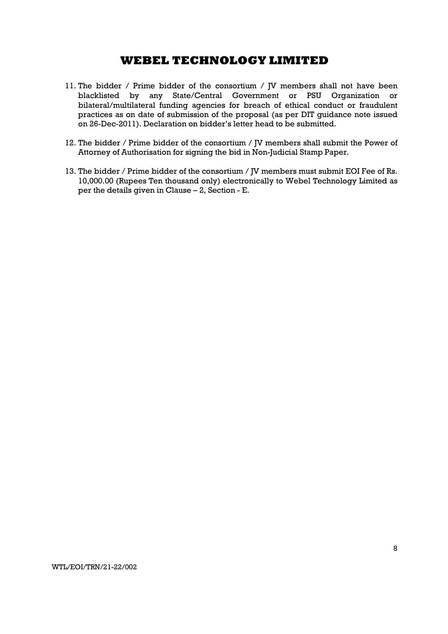- 11. The bidder / Prime bidder of the consortium / JV members shall not have been blacklisted by any State/Central Government or PSU Organization or bilateral/multilateral funding agencies for breach of ethical conduct or fraudulent practices as on date of submission of the proposal (as per DIT guidance note issued on 26-Dec-2011). Declaration on bidder's letter head to be submitted.
- 12. The bidder / Prime bidder of the consortium / JV members shall submit the Power of Attorney of Authorisation for signing the bid in Non-Judicial Stamp Paper.
- 13. The bidder / Prime bidder of the consortium / JV members must submit EOI Fee of Rs. 10,000.00 (Rupees Ten thousand only) electronically to Webel Technology Limited as per the details given in Clause – 2, Section - E.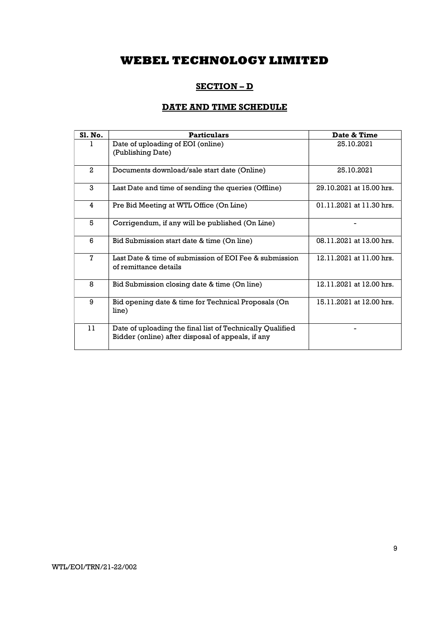# SECTION – D

# DATE AND TIME SCHEDULE

| Sl. No.      | <b>Particulars</b>                                                                                             | Date & Time              |
|--------------|----------------------------------------------------------------------------------------------------------------|--------------------------|
| 1.           | Date of uploading of EOI (online)<br>(Publishing Date)                                                         | 25.10.2021               |
| $\mathbf{2}$ | Documents download/sale start date (Online)                                                                    | 25.10.2021               |
| 3            | Last Date and time of sending the queries (Offline)                                                            | 29.10.2021 at 15.00 hrs. |
| 4            | Pre Bid Meeting at WTL Office (On Line)                                                                        | 01.11.2021 at 11.30 hrs. |
| 5            | Corrigendum, if any will be published (On Line)                                                                |                          |
| 6            | Bid Submission start date & time (On line)                                                                     | 08.11.2021 at 13.00 hrs. |
| 7            | Last Date & time of submission of EOI Fee & submission<br>of remittance details                                | 12.11.2021 at 11.00 hrs. |
| 8            | Bid Submission closing date & time (On line)                                                                   | 12.11.2021 at 12.00 hrs. |
| 9            | Bid opening date & time for Technical Proposals (On<br>line)                                                   | 15.11.2021 at 12.00 hrs. |
| 11           | Date of uploading the final list of Technically Qualified<br>Bidder (online) after disposal of appeals, if any |                          |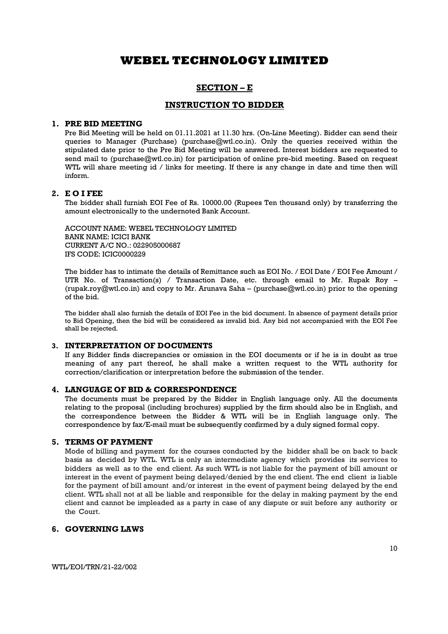## SECTION – E

## INSTRUCTION TO BIDDER

### 1. PRE BID MEETING

Pre Bid Meeting will be held on 01.11.2021 at 11.30 hrs. (On-Line Meeting). Bidder can send their queries to Manager (Purchase) (purchase@wtl.co.in). Only the queries received within the stipulated date prior to the Pre Bid Meeting will be answered. Interest bidders are requested to send mail to (purchase@wtl.co.in) for participation of online pre-bid meeting. Based on request WTL will share meeting id / links for meeting. If there is any change in date and time then will inform.

## 2. E O I FEE

The bidder shall furnish EOI Fee of Rs. 10000.00 (Rupees Ten thousand only) by transferring the amount electronically to the undernoted Bank Account.

ACCOUNT NAME: WEBEL TECHNOLOGY LIMITED BANK NAME: ICICI BANK CURRENT A/C NO.: 022905000687 IFS CODE: ICIC0000229

The bidder has to intimate the details of Remittance such as EOI No. / EOI Date / EOI Fee Amount / UTR No. of Transaction(s) / Transaction Date, etc. through email to Mr. Rupak Roy – (rupak.roy@wtl.co.in) and copy to Mr. Arunava Saha – (purchase@wtl.co.in) prior to the opening of the bid.

The bidder shall also furnish the details of EOI Fee in the bid document. In absence of payment details prior to Bid Opening, then the bid will be considered as invalid bid. Any bid not accompanied with the EOI Fee shall be rejected.

## 3. INTERPRETATION OF DOCUMENTS

If any Bidder finds discrepancies or omission in the EOI documents or if he is in doubt as true meaning of any part thereof, he shall make a written request to the WTL authority for correction/clarification or interpretation before the submission of the tender.

### 4. LANGUAGE OF BID & CORRESPONDENCE

The documents must be prepared by the Bidder in English language only. All the documents relating to the proposal (including brochures) supplied by the firm should also be in English, and the correspondence between the Bidder & WTL will be in English language only. The correspondence by fax/E-mail must be subsequently confirmed by a duly signed formal copy.

### 5. TERMS OF PAYMENT

Mode of billing and payment for the courses conducted by the bidder shall be on back to back basis as decided by WTL. WTL is only an intermediate agency which provides its services to bidders as well as to the end client. As such WTL is not liable for the payment of bill amount or interest in the event of payment being delayed/denied by the end client. The end client is liable for the payment of bill amount and/or interest in the event of payment being delayed by the end client. WTL shall not at all be liable and responsible for the delay in making payment by the end client and cannot be impleaded as a party in case of any dispute or suit before any authority or the Court.

## 6. GOVERNING LAWS

10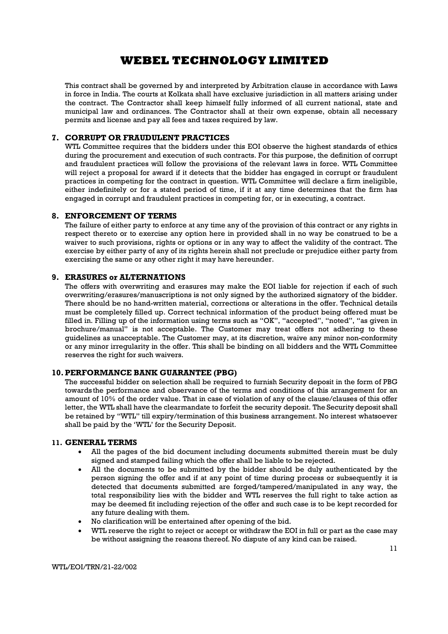This contract shall be governed by and interpreted by Arbitration clause in accordance with Laws in force in India. The courts at Kolkata shall have exclusive jurisdiction in all matters arising under the contract. The Contractor shall keep himself fully informed of all current national, state and municipal law and ordinances. The Contractor shall at their own expense, obtain all necessary permits and license and pay all fees and taxes required by law.

## 7. CORRUPT OR FRAUDULENT PRACTICES

WTL Committee requires that the bidders under this EOI observe the highest standards of ethics during the procurement and execution of such contracts. For this purpose, the definition of corrupt and fraudulent practices will follow the provisions of the relevant laws in force. WTL Committee will reject a proposal for award if it detects that the bidder has engaged in corrupt or fraudulent practices in competing for the contract in question. WTL Committee will declare a firm ineligible, either indefinitely or for a stated period of time, if it at any time determines that the firm has engaged in corrupt and fraudulent practices in competing for, or in executing, a contract.

### 8. ENFORCEMENT OF TERMS

The failure of either party to enforce at any time any of the provision of this contract or any rights in respect thereto or to exercise any option here in provided shall in no way be construed to be a waiver to such provisions, rights or options or in any way to affect the validity of the contract. The exercise by either party of any of its rights herein shall not preclude or prejudice either party from exercising the same or any other right it may have hereunder.

## 9. ERASURES or ALTERNATIONS

The offers with overwriting and erasures may make the EOI liable for rejection if each of such overwriting/erasures/manuscriptions is not only signed by the authorized signatory of the bidder. There should be no hand-written material, corrections or alterations in the offer. Technical details must be completely filled up. Correct technical information of the product being offered must be filled in. Filling up of the information using terms such as "OK", "accepted", "noted", "as given in brochure/manual" is not acceptable. The Customer may treat offers not adhering to these guidelines as unacceptable. The Customer may, at its discretion, waive any minor non-conformity or any minor irregularity in the offer. This shall be binding on all bidders and the WTL Committee reserves the right for such waivers.

## 10.PERFORMANCE BANK GUARANTEE (PBG)

The successful bidder on selection shall be required to furnish Security deposit in the form of PBG towards the performance and observance of the terms and conditions of this arrangement for an amount of 10% of the order value. That in case of violation of any of the clause/clauses of this offer letter, the WTL shall have the clearmandate to forfeit the security deposit. The Security deposit shall be retained by "WTL" till expiry/termination of this business arrangement. No interest whatsoever shall be paid by the 'WTL' for the Security Deposit.

### 11. GENERAL TERMS

- All the pages of the bid document including documents submitted therein must be duly signed and stamped failing which the offer shall be liable to be rejected.
- All the documents to be submitted by the bidder should be duly authenticated by the person signing the offer and if at any point of time during process or subsequently it is detected that documents submitted are forged/tampered/manipulated in any way, the total responsibility lies with the bidder and WTL reserves the full right to take action as may be deemed fit including rejection of the offer and such case is to be kept recorded for any future dealing with them.
- No clarification will be entertained after opening of the bid.
- WTL reserve the right to reject or accept or withdraw the EOI in full or part as the case may be without assigning the reasons thereof. No dispute of any kind can be raised.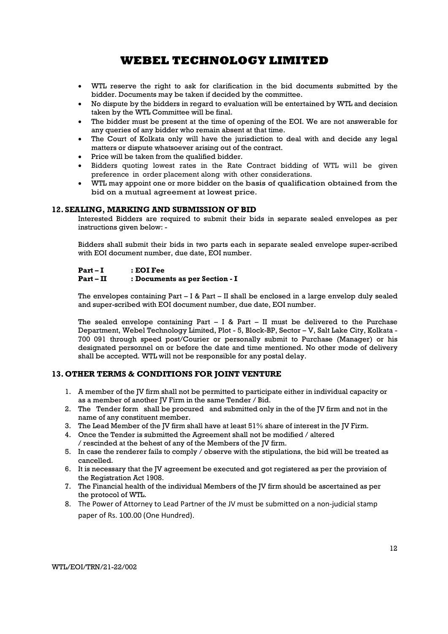- WTL reserve the right to ask for clarification in the bid documents submitted by the bidder. Documents may be taken if decided by the committee.
- No dispute by the bidders in regard to evaluation will be entertained by WTL and decision taken by the WTL Committee will be final.
- The bidder must be present at the time of opening of the EOI. We are not answerable for any queries of any bidder who remain absent at that time.
- The Court of Kolkata only will have the jurisdiction to deal with and decide any legal matters or dispute whatsoever arising out of the contract.
- Price will be taken from the qualified bidder.
- Bidders quoting lowest rates in the Rate Contract bidding of WTL will be given preference in order placement along with other considerations.
- WTL may appoint one or more bidder on the basis of qualification obtained from the bid on a mutual agreement at lowest price.

## 12. SEALING, MARKING AND SUBMISSION OF BID

Interested Bidders are required to submit their bids in separate sealed envelopes as per instructions given below: -

Bidders shall submit their bids in two parts each in separate sealed envelope super-scribed with EOI document number, due date, EOI number.

### Part – I : EOI Fee

### Part – II : Documents as per Section - I

The envelopes containing Part – I & Part – II shall be enclosed in a large envelop duly sealed and super-scribed with EOI document number, due date, EOI number.

The sealed envelope containing Part  $-$  I & Part  $-$  II must be delivered to the Purchase Department, Webel Technology Limited, Plot - 5, Block-BP, Sector – V, Salt Lake City, Kolkata - 700 091 through speed post/Courier or personally submit to Purchase (Manager) or his designated personnel on or before the date and time mentioned. No other mode of delivery shall be accepted. WTL will not be responsible for any postal delay.

### 13. OTHER TERMS & CONDITIONS FOR JOINT VENTURE

- 1. A member of the JV firm shall not be permitted to participate either in individual capacity or as a member of another IV Firm in the same Tender / Bid.
- 2. The Tender form shall be procured and submitted only in the of the JV firm and not in the name of any constituent member.
- 3. The Lead Member of the JV firm shall have at least 51% share of interest in the JV Firm.
- 4. Once the Tender is submitted the Agreement shall not be modified / altered / rescinded at the behest of any of the Members of the JV firm.
- 5. In case the renderer fails to comply / observe with the stipulations, the bid will be treated as cancelled.
- 6. It is necessary that the JV agreement be executed and got registered as per the provision of the Registration Act 1908.
- 7. The Financial health of the individual Members of the JV firm should be ascertained as per the protocol of WTL.
- 8. The Power of Attorney to Lead Partner of the JV must be submitted on a non-judicial stamp paper of Rs. 100.00 (One Hundred).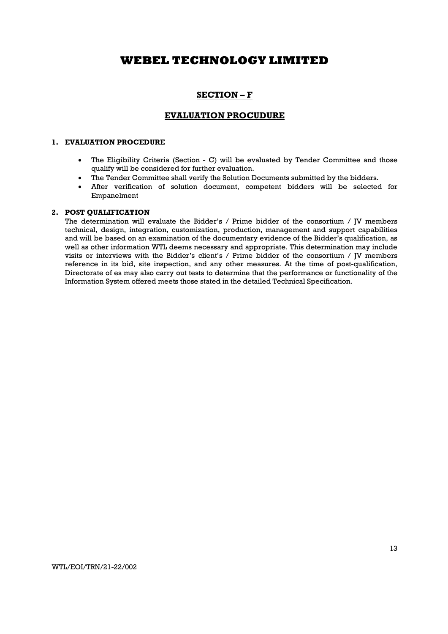# SECTION – F

## EVALUATION PROCUDURE

### 1. EVALUATION PROCEDURE

- The Eligibility Criteria (Section C) will be evaluated by Tender Committee and those qualify will be considered for further evaluation.
- The Tender Committee shall verify the Solution Documents submitted by the bidders.
- After verification of solution document, competent bidders will be selected for Empanelment

### 2. POST QUALIFICATION

The determination will evaluate the Bidder's / Prime bidder of the consortium / JV members technical, design, integration, customization, production, management and support capabilities and will be based on an examination of the documentary evidence of the Bidder's qualification, as well as other information WTL deems necessary and appropriate. This determination may include visits or interviews with the Bidder's client's / Prime bidder of the consortium / JV members reference in its bid, site inspection, and any other measures. At the time of post-qualification, Directorate of es may also carry out tests to determine that the performance or functionality of the Information System offered meets those stated in the detailed Technical Specification.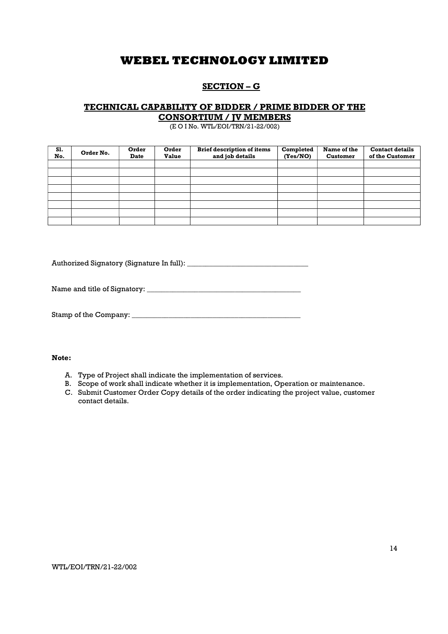# SECTION – G

## TECHNICAL CAPABILITY OF BIDDER / PRIME BIDDER OF THE CONSORTIUM / JV MEMBERS

(E O I No. WTL/EOI/TRN/21-22/002)

| S1.<br>No. | Order No. | Order<br>Date | Order<br><b>Value</b> | <b>Brief description of items</b><br>and job details | Completed<br>(Yes/NO) | Name of the<br><b>Customer</b> | <b>Contact details</b><br>of the Customer |
|------------|-----------|---------------|-----------------------|------------------------------------------------------|-----------------------|--------------------------------|-------------------------------------------|
|            |           |               |                       |                                                      |                       |                                |                                           |
|            |           |               |                       |                                                      |                       |                                |                                           |
|            |           |               |                       |                                                      |                       |                                |                                           |
|            |           |               |                       |                                                      |                       |                                |                                           |
|            |           |               |                       |                                                      |                       |                                |                                           |
|            |           |               |                       |                                                      |                       |                                |                                           |
|            |           |               |                       |                                                      |                       |                                |                                           |
|            |           |               |                       |                                                      |                       |                                |                                           |

Authorized Signatory (Signature In full): \_\_\_\_\_\_\_\_\_\_\_\_\_\_\_\_\_\_\_\_\_\_\_\_\_\_\_\_\_\_\_\_\_

Name and title of Signatory: \_\_\_\_\_\_\_\_\_\_\_\_\_\_\_\_\_\_\_\_\_\_\_\_\_\_\_\_\_\_\_\_\_\_\_\_\_\_\_\_\_\_

Stamp of the Company: \_\_\_\_\_\_\_\_\_\_\_\_\_\_\_\_\_\_\_\_\_\_\_\_\_\_\_\_\_\_\_\_\_\_\_\_\_\_\_\_\_\_\_\_\_\_

### Note:

- A. Type of Project shall indicate the implementation of services.
- B. Scope of work shall indicate whether it is implementation, Operation or maintenance.
- C. Submit Customer Order Copy details of the order indicating the project value, customer contact details.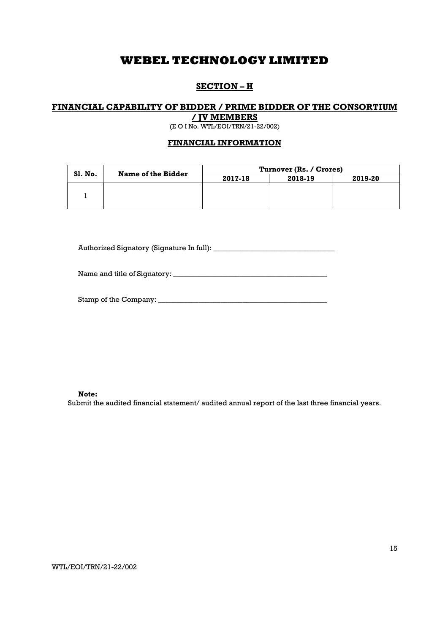# SECTION – H

# FINANCIAL CAPABILITY OF BIDDER / PRIME BIDDER OF THE CONSORTIUM

/ JV MEMBERS (E O I No. WTL/EOI/TRN/21-22/002)

# FINANCIAL INFORMATION

| Sl. No. | Name of the Bidder | Turnover (Rs. / Crores) |         |         |  |
|---------|--------------------|-------------------------|---------|---------|--|
|         |                    | 2017-18                 | 2018-19 | 2019-20 |  |
|         |                    |                         |         |         |  |
|         |                    |                         |         |         |  |

Authorized Signatory (Signature In full): \_\_\_\_\_\_\_\_\_\_\_\_\_\_\_\_\_\_\_\_\_\_\_\_\_\_\_\_\_\_\_\_\_

Name and title of Signatory: \_\_\_\_\_\_\_\_\_\_\_\_\_\_\_\_\_\_\_\_\_\_\_\_\_\_\_\_\_\_\_\_\_\_\_\_\_\_\_\_\_\_

| Stamp of the Company: |  |
|-----------------------|--|
|-----------------------|--|

Note:

Submit the audited financial statement/ audited annual report of the last three financial years.

WTL/EOI/TRN/21-22/002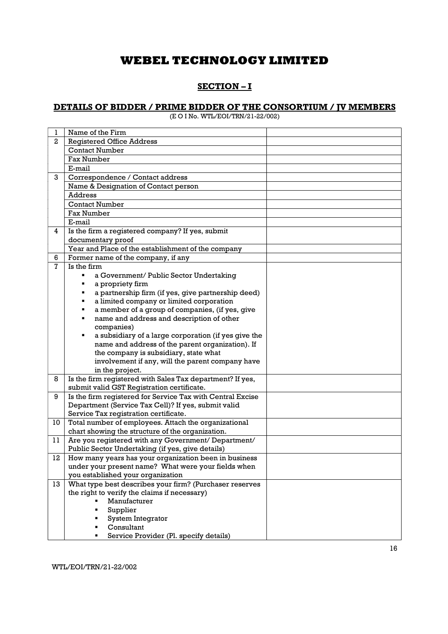# SECTION – I

## DETAILS OF BIDDER / PRIME BIDDER OF THE CONSORTIUM / JV MEMBERS

(E O I No. WTL/EOI/TRN/21-22/002)

| 1              | Name of the Firm                                                                                        |  |
|----------------|---------------------------------------------------------------------------------------------------------|--|
| $\overline{a}$ | <b>Registered Office Address</b>                                                                        |  |
|                | <b>Contact Number</b>                                                                                   |  |
|                | <b>Fax Number</b>                                                                                       |  |
|                | E-mail                                                                                                  |  |
| 3              | Correspondence / Contact address                                                                        |  |
|                | Name & Designation of Contact person                                                                    |  |
|                | Address                                                                                                 |  |
|                | <b>Contact Number</b>                                                                                   |  |
|                | <b>Fax Number</b>                                                                                       |  |
|                | E-mail                                                                                                  |  |
| 4              | Is the firm a registered company? If yes, submit                                                        |  |
|                | documentary proof                                                                                       |  |
|                | Year and Place of the establishment of the company                                                      |  |
| 6              | Former name of the company, if any                                                                      |  |
| 7              | Is the firm                                                                                             |  |
|                | a Government/ Public Sector Undertaking                                                                 |  |
|                | a propriety firm                                                                                        |  |
|                | a partnership firm (if yes, give partnership deed)                                                      |  |
|                | a limited company or limited corporation                                                                |  |
|                | a member of a group of companies, (if yes, give                                                         |  |
|                | name and address and description of other                                                               |  |
|                | companies)                                                                                              |  |
|                | a subsidiary of a large corporation (if yes give the                                                    |  |
|                | name and address of the parent organization). If                                                        |  |
|                | the company is subsidiary, state what                                                                   |  |
|                | involvement if any, will the parent company have                                                        |  |
|                | in the project.                                                                                         |  |
| 8              | Is the firm registered with Sales Tax department? If yes,                                               |  |
|                | submit valid GST Registration certificate.                                                              |  |
| 9              | Is the firm registered for Service Tax with Central Excise                                              |  |
|                | Department (Service Tax Cell)? If yes, submit valid                                                     |  |
|                | Service Tax registration certificate.                                                                   |  |
| 10             | Total number of employees. Attach the organizational                                                    |  |
|                | chart showing the structure of the organization.                                                        |  |
| 11             | Are you registered with any Government/ Department/<br>Public Sector Undertaking (if yes, give details) |  |
| 12             | How many years has your organization been in business                                                   |  |
|                | under your present name? What were your fields when                                                     |  |
|                | you established your organization                                                                       |  |
| 13             | What type best describes your firm? (Purchaser reserves                                                 |  |
|                | the right to verify the claims if necessary)                                                            |  |
|                | Manufacturer                                                                                            |  |
|                | Supplier                                                                                                |  |
|                | System Integrator                                                                                       |  |
|                | Consultant                                                                                              |  |
|                | Service Provider (Pl. specify details)                                                                  |  |
|                |                                                                                                         |  |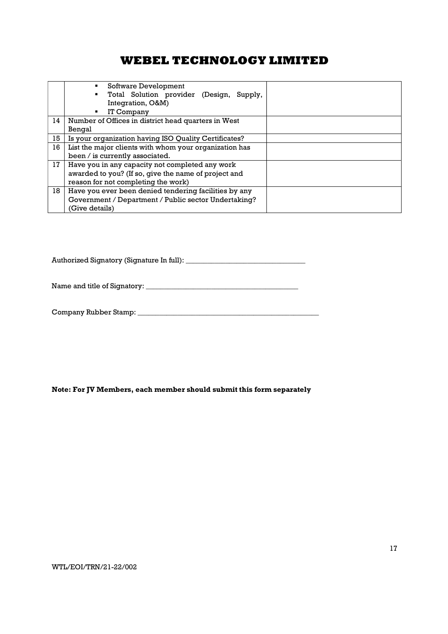|    | Software Development<br>٠<br>Total Solution provider (Design, Supply,<br>Integration, O&M)<br>IT Company<br>٠ |  |
|----|---------------------------------------------------------------------------------------------------------------|--|
| 14 | Number of Offices in district head quarters in West                                                           |  |
|    | Bengal                                                                                                        |  |
| 15 | Is your organization having ISO Quality Certificates?                                                         |  |
| 16 | List the major clients with whom your organization has                                                        |  |
|    | been / is currently associated.                                                                               |  |
| 17 | Have you in any capacity not completed any work                                                               |  |
|    | awarded to you? (If so, give the name of project and                                                          |  |
|    | reason for not completing the work)                                                                           |  |
| 18 | Have you ever been denied tendering facilities by any                                                         |  |
|    | Government / Department / Public sector Undertaking?                                                          |  |
|    | (Give details)                                                                                                |  |

Authorized Signatory (Signature In full): \_\_\_\_\_\_\_\_\_\_\_\_\_\_\_\_\_\_\_\_\_\_\_\_\_\_\_\_\_\_\_\_\_

Name and title of Signatory: \_\_\_\_\_\_\_\_\_\_\_\_\_\_\_\_\_\_\_\_\_\_\_\_\_\_\_\_\_\_\_\_\_\_\_\_\_\_\_\_\_\_

Company Rubber Stamp: \_\_\_\_\_\_\_\_\_\_\_\_\_\_\_\_\_\_\_\_\_\_\_\_\_\_\_\_\_\_\_\_\_\_\_\_\_\_\_\_\_\_\_\_\_\_\_\_\_\_

Note: For JV Members, each member should submit this form separately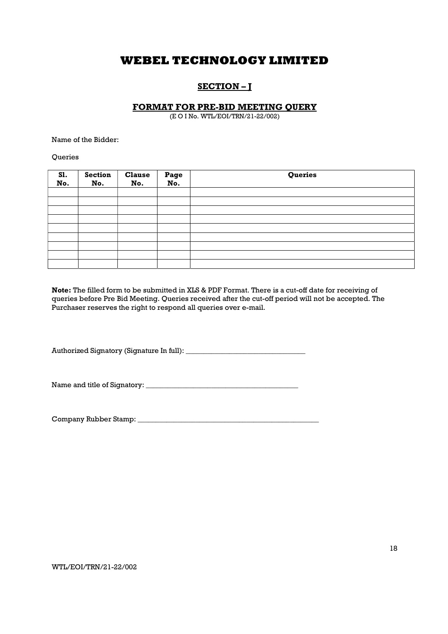# SECTION – J

## FORMAT FOR PRE-BID MEETING QUERY

(E O I No. WTL/EOI/TRN/21-22/002)

Name of the Bidder:

Queries

| S1.<br>No. | Section<br>No. | <b>Clause</b><br>No. | Page<br>No. | Queries |
|------------|----------------|----------------------|-------------|---------|
|            |                |                      |             |         |
|            |                |                      |             |         |
|            |                |                      |             |         |
|            |                |                      |             |         |
|            |                |                      |             |         |
|            |                |                      |             |         |
|            |                |                      |             |         |
|            |                |                      |             |         |
|            |                |                      |             |         |

Note: The filled form to be submitted in XLS & PDF Format. There is a cut-off date for receiving of queries before Pre Bid Meeting. Queries received after the cut-off period will not be accepted. The Purchaser reserves the right to respond all queries over e-mail.

Authorized Signatory (Signature In full): \_\_\_\_\_\_\_\_\_\_\_\_\_\_\_\_\_\_\_\_\_\_\_\_\_\_\_\_\_\_\_\_\_

Name and title of Signatory: \_\_\_\_\_\_\_\_\_\_\_\_\_\_\_\_\_\_\_\_\_\_\_\_\_\_\_\_\_\_\_\_\_\_\_\_\_\_\_\_\_\_

Company Rubber Stamp: \_\_\_\_\_\_\_\_\_\_\_\_\_\_\_\_\_\_\_\_\_\_\_\_\_\_\_\_\_\_\_\_\_\_\_\_\_\_\_\_\_\_\_\_\_\_\_\_\_\_

WTL/EOI/TRN/21-22/002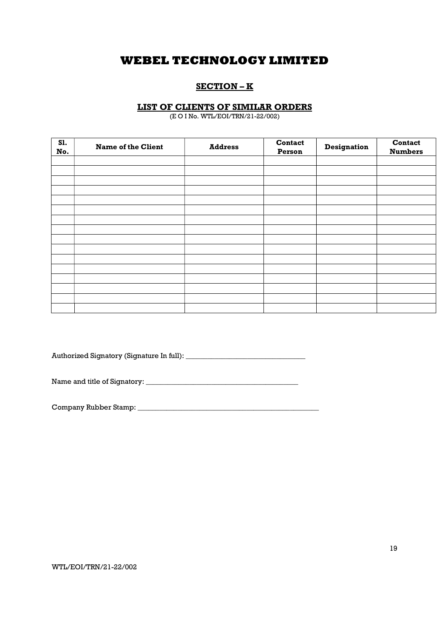# SECTION – K

## LIST OF CLIENTS OF SIMILAR ORDERS

(E O I No. WTL/EOI/TRN/21-22/002)

| S1.<br>No. | <b>Name of the Client</b> | <b>Address</b> | Contact<br>Person | <b>Designation</b> | Contact<br><b>Numbers</b> |
|------------|---------------------------|----------------|-------------------|--------------------|---------------------------|
|            |                           |                |                   |                    |                           |
|            |                           |                |                   |                    |                           |
|            |                           |                |                   |                    |                           |
|            |                           |                |                   |                    |                           |
|            |                           |                |                   |                    |                           |
|            |                           |                |                   |                    |                           |
|            |                           |                |                   |                    |                           |
|            |                           |                |                   |                    |                           |
|            |                           |                |                   |                    |                           |
|            |                           |                |                   |                    |                           |
|            |                           |                |                   |                    |                           |
|            |                           |                |                   |                    |                           |
|            |                           |                |                   |                    |                           |
|            |                           |                |                   |                    |                           |
|            |                           |                |                   |                    |                           |
|            |                           |                |                   |                    |                           |

Authorized Signatory (Signature In full): \_\_\_\_\_\_\_\_\_\_\_\_\_\_\_\_\_\_\_\_\_\_\_\_\_\_\_\_\_\_\_\_\_

Name and title of Signatory: \_\_\_\_\_\_\_\_\_\_\_\_\_\_\_\_\_\_\_\_\_\_\_\_\_\_\_\_\_\_\_\_\_\_\_\_\_\_\_\_\_\_

Company Rubber Stamp: \_\_\_\_\_\_\_\_\_\_\_\_\_\_\_\_\_\_\_\_\_\_\_\_\_\_\_\_\_\_\_\_\_\_\_\_\_\_\_\_\_\_\_\_\_\_\_\_\_\_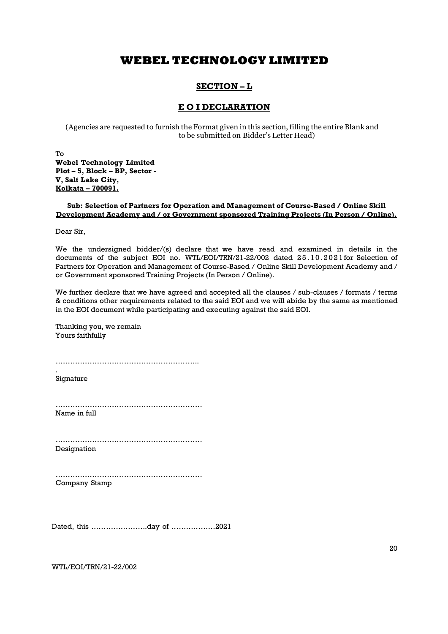# SECTION – L

## E O I DECLARATION

(Agencies are requested to furnish the Format given in this section, filling the entire Blank and to be submitted on Bidder's Letter Head)

To Webel Technology Limited Plot – 5, Block – BP, Sector - V, Salt Lake City, Kolkata – 700091.

## Sub: Selection of Partners for Operation and Management of Course-Based / Online Skill Development Academy and / or Government sponsored Training Projects (In Person / Online).

Dear Sir,

We the undersigned bidder/(s) declare that we have read and examined in details in the documents of the subject EOI no. WTL/EOI/TRN/21-22/002 dated 25.10.2021 for Selection of Partners for Operation and Management of Course-Based / Online Skill Development Academy and / or Government sponsored Training Projects (In Person / Online).

We further declare that we have agreed and accepted all the clauses / sub-clauses / formats / terms & conditions other requirements related to the said EOI and we will abide by the same as mentioned in the EOI document while participating and executing against the said EOI.

Thanking you, we remain Yours faithfully

…………………………………………………..

Signature

.

…………………………………………………… Name in full

…………………………………………………… Designation

…………………………………………………… Company Stamp

Dated, this …………………..day of ………………2021

WTL/EOI/TRN/21-22/002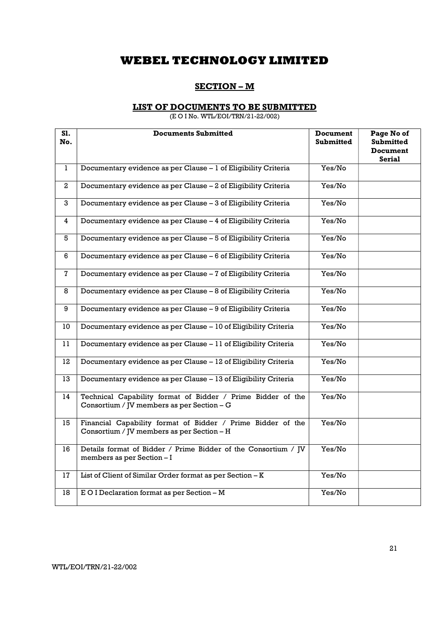# SECTION – M

## LIST OF DOCUMENTS TO BE SUBMITTED

(E O I No. WTL/EOI/TRN/21-22/002)

| S1.<br>No.   | <b>Documents Submitted</b>                                                                                | <b>Document</b><br><b>Submitted</b> | Page No of<br><b>Submitted</b><br><b>Document</b><br><b>Serial</b> |
|--------------|-----------------------------------------------------------------------------------------------------------|-------------------------------------|--------------------------------------------------------------------|
| $\mathbf{1}$ | Documentary evidence as per Clause - 1 of Eligibility Criteria                                            | Yes/No                              |                                                                    |
| $\mathbf{2}$ | Documentary evidence as per Clause - 2 of Eligibility Criteria                                            | Yes/No                              |                                                                    |
| 3            | Documentary evidence as per Clause - 3 of Eligibility Criteria                                            | Yes/No                              |                                                                    |
| 4            | Documentary evidence as per Clause - 4 of Eligibility Criteria                                            | Yes/No                              |                                                                    |
| 5            | Documentary evidence as per Clause - 5 of Eligibility Criteria                                            | Yes/No                              |                                                                    |
| 6            | Documentary evidence as per Clause - 6 of Eligibility Criteria                                            | Yes/No                              |                                                                    |
| $\mathbf{7}$ | Documentary evidence as per Clause - 7 of Eligibility Criteria                                            | Yes/No                              |                                                                    |
| 8            | Documentary evidence as per Clause - 8 of Eligibility Criteria                                            | Yes/No                              |                                                                    |
| 9            | Documentary evidence as per Clause - 9 of Eligibility Criteria                                            | Yes/No                              |                                                                    |
| 10           | Documentary evidence as per Clause - 10 of Eligibility Criteria                                           | Yes/No                              |                                                                    |
| 11           | Documentary evidence as per Clause - 11 of Eligibility Criteria                                           | Yes/No                              |                                                                    |
| 12           | Documentary evidence as per Clause - 12 of Eligibility Criteria                                           | Yes/No                              |                                                                    |
| 13           | Documentary evidence as per Clause - 13 of Eligibility Criteria                                           | Yes/No                              |                                                                    |
| 14           | Technical Capability format of Bidder / Prime Bidder of the<br>Consortium / JV members as per Section - G | Yes/No                              |                                                                    |
| 15           | Financial Capability format of Bidder / Prime Bidder of the<br>Consortium / JV members as per Section - H | Yes/No                              |                                                                    |
| 16           | Details format of Bidder / Prime Bidder of the Consortium / JV<br>members as per Section - I              | Yes/No                              |                                                                    |
| 17           | List of Client of Similar Order format as per Section - K                                                 | Yes/No                              |                                                                    |
| 18           | E O I Declaration format as per Section - M                                                               | Yes/No                              |                                                                    |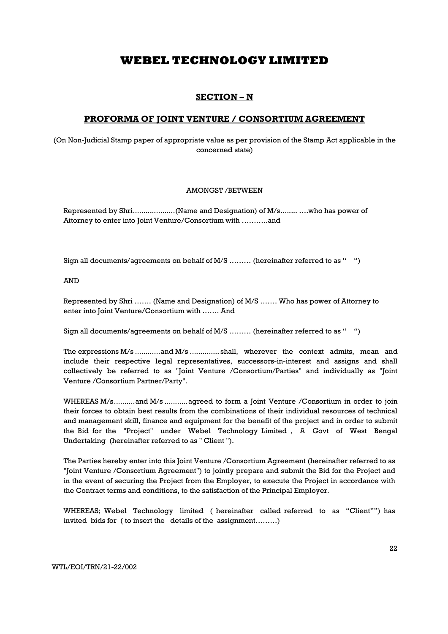# SECTION – N

## PROFORMA OF JOINT VENTURE / CONSORTIUM AGREEMENT

(On Non-Judicial Stamp paper of appropriate value as per provision of the Stamp Act applicable in the concerned state)

### AMONGST /BETWEEN

Represented by Shri .................... (Name and Designation) of M/s ........ ….who has power of Attorney to enter into Joint Venture/Consortium with ………..and

Sign all documents/agreements on behalf of M/S ……… (hereinafter referred to as " ")

AND

Represented by Shri ……. (Name and Designation) of M/S ……. Who has power of Attorney to enter into Joint Venture/Consortium with ……. And

Sign all documents/agreements on behalf of M/S ……… (hereinafter referred to as " ")

The expressions M/s ............ and M/s .............. shall, wherever the context admits, mean and include their respective legal representatives, successors-in-interest and assigns and shall collectively be referred to as "Joint Venture /Consortium/Parties" and individually as "Joint Venture /Consortium Partner/Party".

WHEREAS M/s..........and M/s ...........agreed to form a Joint Venture /Consortium in order to join their forces to obtain best results from the combinations of their individual resources of technical and management skill, finance and equipment for the benefit of the project and in order to submit the Bid for the "Project" under Webel Technology Limited , A Govt of West Bengal Undertaking (hereinafter referred to as " Client ").

The Parties hereby enter into this Joint Venture /Consortium Agreement (hereinafter referred to as "Joint Venture /Consortium Agreement") to jointly prepare and submit the Bid for the Project and in the event of securing the Project from the Employer, to execute the Project in accordance with the Contract terms and conditions, to the satisfaction of the Principal Employer.

WHEREAS; Webel Technology limited ( hereinafter called referred to as "Client"") has invited bids for ( to insert the details of the assignment………)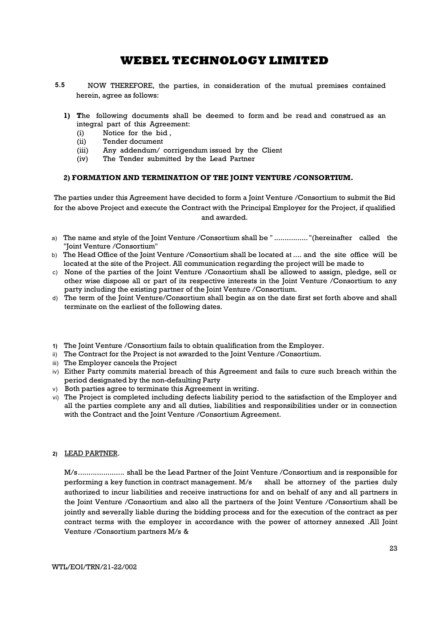- NOW THEREFORE, the parties, in consideration of the mutual premises contained herein, agree as follows: 5.5
	- 1) The following documents shall be deemed to form and be read and construed as an integral part of this Agreement:
		- (i) Notice for the bid ,
		- (ii) Tender document
		- (iii) Any addendum/ corrigendum issued by the Client
		- (iv) The Tender submitted by the Lead Partner

## 2) FORMATION AND TERMINATION OF THE JOINT VENTURE /CONSORTIUM.

The parties under this Agreement have decided to form a Joint Venture /Consortium to submit the Bid for the above Project and execute the Contract with the Principal Employer for the Project, if qualified and awarded.

- a) The name and style of the Joint Venture /Consortium shall be " ................ "(hereinafter called the "Joint Venture /Consortium"
- b) The Head Office of the Joint Venture /Consortium shall be located at .... and the site office will be located at the site of the Project. All communication regarding the project will be made to
- c) None of the parties of the Joint Venture /Consortium shall be allowed to assign, pledge, sell or other wise dispose all or part of its respective interests in the Joint Venture /Consortium to any party including the existing partner of the Joint Venture /Consortium.
- d) The term of the Joint Venture/Consortium shall begin as on the date first set forth above and shall terminate on the earliest of the following dates.
- 1) The Joint Venture /Consortium fails to obtain qualification from the Employer.
- ii) The Contract for the Project is not awarded to the Joint Venture /Consortium.
- iii) The Employer cancels the Project
- iv) Either Party commits material breach of this Agreement and fails to cure such breach within the period designated by the non-defaulting Party
- v) Both parties agree to terminate this Agreement in writing.
- vi) The Project is completed including defects liability period to the satisfaction of the Employer and all the parties complete any and all duties, liabilities and responsibilities under or in connection with the Contract and the Joint Venture /Consortium Agreement.

### 2) LEAD PARTNER.

M/s ...................... shall be the Lead Partner of the Joint Venture /Consortium and is responsible for performing a key function in contract management. M/s shall be attorney of the parties duly authorized to incur liabilities and receive instructions for and on behalf of any and all partners in the Joint Venture /Consortium and also all the partners of the Joint Venture /Consortium shall be jointly and severally liable during the bidding process and for the execution of the contract as per contract terms with the employer in accordance with the power of attorney annexed .All Joint Venture /Consortium partners M/s &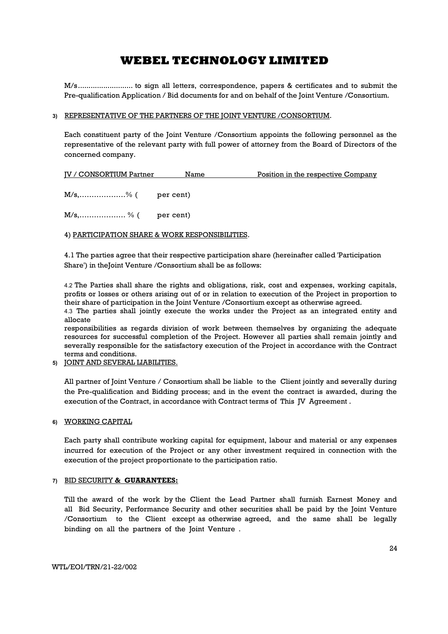M/s .......................... to sign all letters, correspondence, papers & certificates and to submit the Pre-qualification Application / Bid documents for and on behalf of the Joint Venture /Consortium.

### 3) REPRESENTATIVE OF THE PARTNERS OF THE JOINT VENTURE /CONSORTIUM.

Each constituent party of the Joint Venture /Consortium appoints the following personnel as the representative of the relevant party with full power of attorney from the Board of Directors of the concerned company.

| <b>IV / CONSORTIUM Partner</b> | Name | <u>Position in the respective Company</u> |
|--------------------------------|------|-------------------------------------------|
| $M/s$ ,% ( per cent)           |      |                                           |
| $M/s,$ % ( per cent)           |      |                                           |

### 4) PARTICIPATION SHARE & WORK RESPONSIBILITIES.

4.1 The parties agree that their respective participation share (hereinafter called 'Participation Share') in theJoint Venture /Consortium shall be as follows:

4.2 The Parties shall share the rights and obligations, risk, cost and expenses, working capitals, profits or losses or others arising out of or in relation to execution of the Project in proportion to their share of participation in the Joint Venture /Consortium except as otherwise agreed. 4.3 The parties shall jointly execute the works under the Project as an integrated entity and

allocate

responsibilities as regards division of work between themselves by organizing the adequate resources for successful completion of the Project. However all parties shall remain jointly and severally responsible for the satisfactory execution of the Project in accordance with the Contract terms and conditions.

5) JOINT AND SEVERAL LIABILITIES.

All partner of Joint Venture / Consortium shall be liable to the Client jointly and severally during the Pre-qualification and Bidding process; and in the event the contract is awarded, during the execution of the Contract, in accordance with Contract terms of This JV Agreement.

### 6) WORKING CAPITAL

Each party shall contribute working capital for equipment, labour and material or any expenses incurred for execution of the Project or any other investment required in connection with the execution of the project proportionate to the participation ratio.

### 7) BID SECURITY & GUARANTEES:

Till the award of the work by the Client the Lead Partner shall furnish Earnest Money and all Bid Security, Performance Security and other securities shall be paid by the Joint Venture /Consortium to the Client except as otherwise agreed, and the same shall be legally binding on all the partners of the Joint Venture .

WTL/EOI/TRN/21-22/002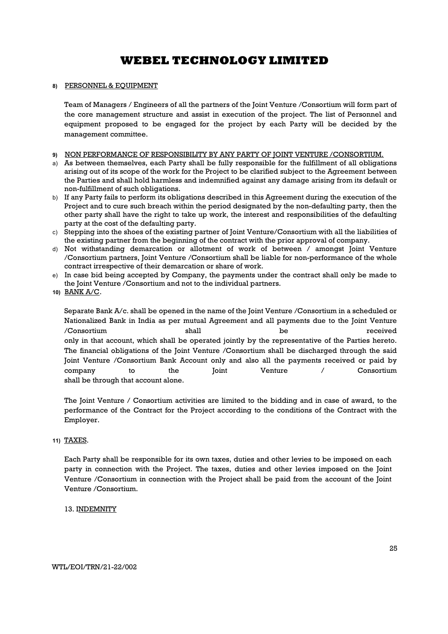### 8) PERSONNEL & EQUIPMENT

Team of Managers / Engineers of all the partners of the Joint Venture /Consortium will form part of the core management structure and assist in execution of the project. The list of Personnel and equipment proposed to be engaged for the project by each Party will be decided by the management committee.

### 9) NON PERFORMANCE OF RESPONSIBILITY BY ANY PARTY OF JOINT VENTURE /CONSORTIUM.

- a) As between themselves, each Party shall be fully responsible for the fulfillment of all obligations arising out of its scope of the work for the Project to be clarified subject to the Agreement between the Parties and shall hold harmless and indemnified against any damage arising from its default or non-fulfillment of such obligations.
- b) If any Party fails to perform its obligations described in this Agreement during the execution of the Project and to cure such breach within the period designated by the non-defaulting party, then the other party shall have the right to take up work, the interest and responsibilities of the defaulting party at the cost of the defaulting party.
- c) Stepping into the shoes of the existing partner of Joint Venture/Consortium with all the liabilities of the existing partner from the beginning of the contract with the prior approval of company.
- d) Not withstanding demarcation or allotment of work of between / amongst Joint Venture /Consortium partners, Joint Venture /Consortium shall be liable for non-performance of the whole contract irrespective of their demarcation or share of work.
- e) In case bid being accepted by Company, the payments under the contract shall only be made to the Joint Venture /Consortium and not to the individual partners.
- 10) BANK A/C.

Separate Bank A/c. shall be opened in the name of the Joint Venture /Consortium in a scheduled or Nationalized Bank in India as per mutual Agreement and all payments due to the Joint Venture /Consortium shall be received only in that account, which shall be operated jointly by the representative of the Parties hereto. The financial obligations of the Joint Venture /Consortium shall be discharged through the said Joint Venture /Consortium Bank Account only and also all the payments received or paid by company to the Joint Venture / Consortium shall be through that account alone.

The Joint Venture / Consortium activities are limited to the bidding and in case of award, to the performance of the Contract for the Project according to the conditions of the Contract with the Employer.

### 11) TAXES.

Each Party shall be responsible for its own taxes, duties and other levies to be imposed on each party in connection with the Project. The taxes, duties and other levies imposed on the Joint Venture /Consortium in connection with the Project shall be paid from the account of the Joint Venture /Consortium.

### 13. INDEMNITY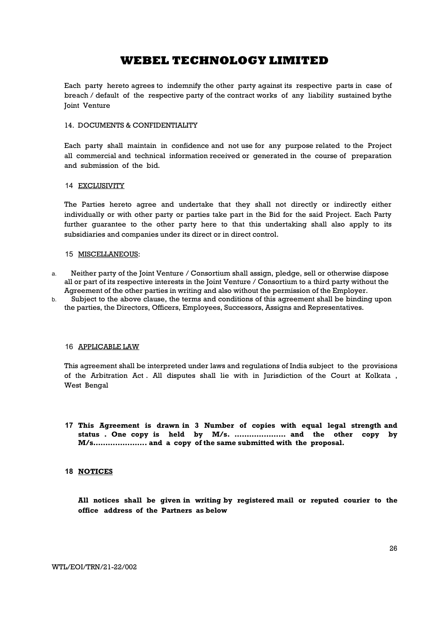Each party hereto agrees to indemnify the other party against its respective parts in case of breach / default of the respective party of the contract works of any liability sustained bythe Joint Venture

### 14. DOCUMENTS & CONFIDENTIALITY

Each party shall maintain in confidence and not use for any purpose related to the Project all commercial and technical information received or generated in the course of preparation and submission of the bid.

### 14 EXCLUSIVITY

The Parties hereto agree and undertake that they shall not directly or indirectly either individually or with other party or parties take part in the Bid for the said Project. Each Party further guarantee to the other party here to that this undertaking shall also apply to its subsidiaries and companies under its direct or in direct control.

### 15 MISCELLANEOUS:

- a. Neither party of the Joint Venture / Consortium shall assign, pledge, sell or otherwise dispose all or part of its respective interests in the Joint Venture / Consortium to a third party without the Agreement of the other parties in writing and also without the permission of the Employer.
- b. Subject to the above clause, the terms and conditions of this agreement shall be binding upon the parties, the Directors, Officers, Employees, Successors, Assigns and Representatives.

### 16 APPLICABLE LAW

This agreement shall be interpreted under laws and regulations of India subject to the provisions of the Arbitration Act . All disputes shall lie with in Jurisdiction of the Court at Kolkata , West Bengal

17 This Agreement is drawn in 3 Number of copies with equal legal strength and status . One copy is held by M/s. ………………… and the other copy by M/s…………………. and a copy of the same submitted with the proposal.

### 18 **NOTICES**

All notices shall be given in writing by registered mail or reputed courier to the office address of the Partners as below